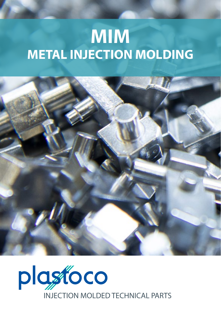## **MIM METAL INJECTION MOLDING**



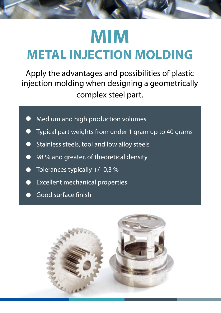## **MIM METAL INJECTION MOLDING**

Apply the advantages and possibilities of plastic injection molding when designing a geometrically complex steel part.

- Medium and high production volumes
- Typical part weights from under 1 gram up to 40 grams
- Stainless steels, tool and low alloy steels
- 98 % and greater, of theoretical density
- $\bullet$  Tolerances typically  $+/$ -0,3 %
- Excellent mechanical properties
- Good surface finish

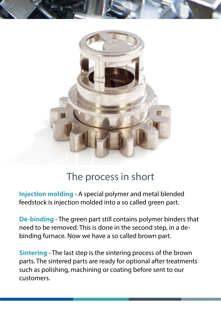

## The process in short

**Injection molding** - A special polymer and metal blended feedstock is injection molded into a so called green part.

**De-binding** - The green part still contains polymer binders that need to be removed. This is done in the second step, in a debinding furnace. Now we have a so called brown part.

**Sintering** - The last step is the sintering process of the brown parts. The sintered parts are ready for optional after treatments such as polishing, machining or coating before sent to our customers.